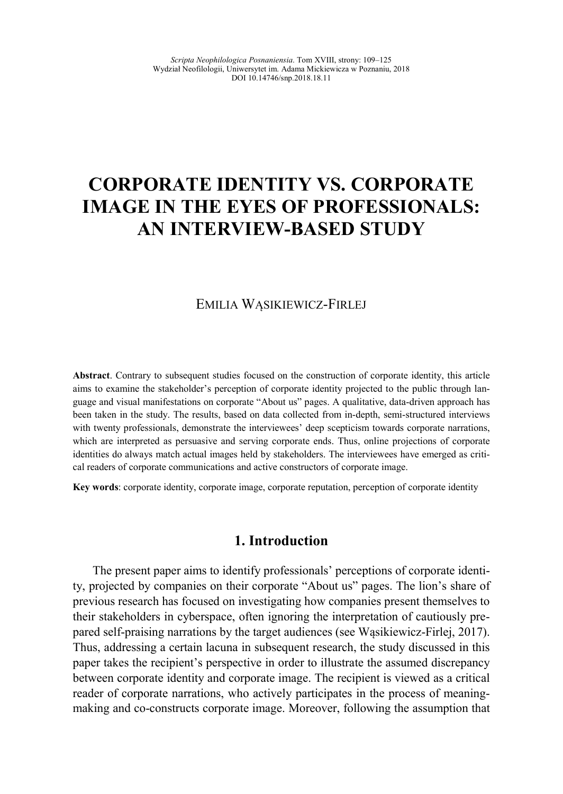# **CORPORATE IDENTITY VS. CORPORATE IMAGE IN THE EYES OF PROFESSIONALS: AN INTERVIEW-BASED STUDY**

# EMILIA WĄSIKIEWICZ-FIRLEJ

**Abstract**. Contrary to subsequent studies focused on the construction of corporate identity, this article aims to examine the stakeholder's perception of corporate identity projected to the public through language and visual manifestations on corporate "About us" pages. A qualitative, data-driven approach has been taken in the study. The results, based on data collected from in-depth, semi-structured interviews with twenty professionals, demonstrate the interviewees' deep scepticism towards corporate narrations, which are interpreted as persuasive and serving corporate ends. Thus, online projections of corporate identities do always match actual images held by stakeholders. The interviewees have emerged as critical readers of corporate communications and active constructors of corporate image.

**Key words**: corporate identity, corporate image, corporate reputation, perception of corporate identity

# **1. Introduction**

The present paper aims to identify professionals' perceptions of corporate identity, projected by companies on their corporate "About us" pages. The lion's share of previous research has focused on investigating how companies present themselves to their stakeholders in cyberspace, often ignoring the interpretation of cautiously prepared self-praising narrations by the target audiences (see Wąsikiewicz-Firlej, 2017). Thus, addressing a certain lacuna in subsequent research, the study discussed in this paper takes the recipient's perspective in order to illustrate the assumed discrepancy between corporate identity and corporate image. The recipient is viewed as a critical reader of corporate narrations, who actively participates in the process of meaningmaking and co-constructs corporate image. Moreover, following the assumption that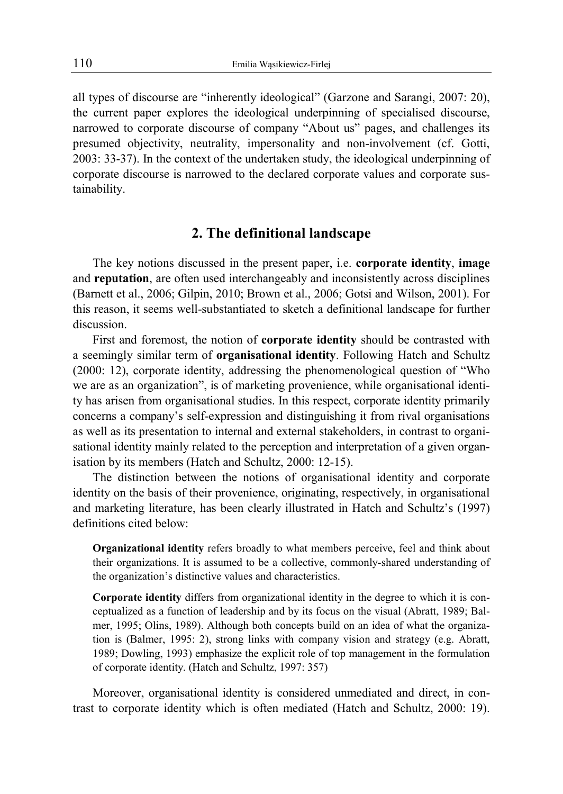all types of discourse are "inherently ideological" (Garzone and Sarangi, 2007: 20), the current paper explores the ideological underpinning of specialised discourse, narrowed to corporate discourse of company "About us" pages, and challenges its presumed objectivity, neutrality, impersonality and non-involvement (cf. Gotti, 2003: 33-37). In the context of the undertaken study, the ideological underpinning of corporate discourse is narrowed to the declared corporate values and corporate sustainability.

# **2. The definitional landscape**

The key notions discussed in the present paper, i.e. **corporate identity**, **image** and **reputation**, are often used interchangeably and inconsistently across disciplines (Barnett et al., 2006; Gilpin, 2010; Brown et al., 2006; Gotsi and Wilson, 2001). For this reason, it seems well-substantiated to sketch a definitional landscape for further discussion.

First and foremost, the notion of **corporate identity** should be contrasted with a seemingly similar term of **organisational identity**. Following Hatch and Schultz (2000: 12), corporate identity, addressing the phenomenological question of "Who we are as an organization", is of marketing provenience, while organisational identity has arisen from organisational studies. In this respect, corporate identity primarily concerns a company's self-expression and distinguishing it from rival organisations as well as its presentation to internal and external stakeholders, in contrast to organisational identity mainly related to the perception and interpretation of a given organisation by its members (Hatch and Schultz, 2000: 12-15).

The distinction between the notions of organisational identity and corporate identity on the basis of their provenience, originating, respectively, in organisational and marketing literature, has been clearly illustrated in Hatch and Schultz's (1997) definitions cited below:

**Organizational identity** refers broadly to what members perceive, feel and think about their organizations. It is assumed to be a collective, commonly-shared understanding of the organization's distinctive values and characteristics.

**Corporate identity** differs from organizational identity in the degree to which it is conceptualized as a function of leadership and by its focus on the visual (Abratt, 1989; Balmer, 1995; Olins, 1989). Although both concepts build on an idea of what the organization is (Balmer, 1995: 2), strong links with company vision and strategy (e.g. Abratt, 1989; Dowling, 1993) emphasize the explicit role of top management in the formulation of corporate identity. (Hatch and Schultz, 1997: 357)

Moreover, organisational identity is considered unmediated and direct, in contrast to corporate identity which is often mediated (Hatch and Schultz, 2000: 19).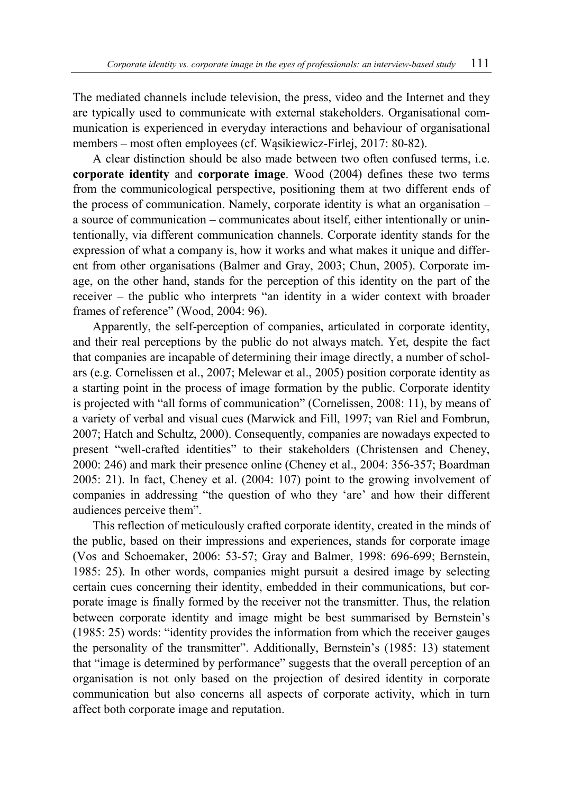The mediated channels include television, the press, video and the Internet and they are typically used to communicate with external stakeholders. Organisational communication is experienced in everyday interactions and behaviour of organisational members – most often employees (cf. Wąsikiewicz-Firlej, 2017: 80-82).

A clear distinction should be also made between two often confused terms, i.e. **corporate identity** and **corporate image**. Wood (2004) defines these two terms from the communicological perspective, positioning them at two different ends of the process of communication. Namely, corporate identity is what an organisation – a source of communication – communicates about itself, either intentionally or unintentionally, via different communication channels. Corporate identity stands for the expression of what a company is, how it works and what makes it unique and different from other organisations (Balmer and Gray, 2003; Chun, 2005). Corporate image, on the other hand, stands for the perception of this identity on the part of the receiver – the public who interprets "an identity in a wider context with broader frames of reference" (Wood, 2004: 96).

Apparently, the self-perception of companies, articulated in corporate identity, and their real perceptions by the public do not always match. Yet, despite the fact that companies are incapable of determining their image directly, a number of scholars (e.g. Cornelissen et al., 2007; Melewar et al., 2005) position corporate identity as a starting point in the process of image formation by the public. Corporate identity is projected with "all forms of communication" (Cornelissen, 2008: 11), by means of a variety of verbal and visual cues (Marwick and Fill, 1997; van Riel and Fombrun, 2007; Hatch and Schultz, 2000). Consequently, companies are nowadays expected to present "well-crafted identities" to their stakeholders (Christensen and Cheney, 2000: 246) and mark their presence online (Cheney et al., 2004: 356-357; Boardman 2005: 21). In fact, Cheney et al. (2004: 107) point to the growing involvement of companies in addressing "the question of who they 'are' and how their different audiences perceive them".

This reflection of meticulously crafted corporate identity, created in the minds of the public, based on their impressions and experiences, stands for corporate image (Vos and Schoemaker, 2006: 53-57; Gray and Balmer, 1998: 696-699; Bernstein, 1985: 25). In other words, companies might pursuit a desired image by selecting certain cues concerning their identity, embedded in their communications, but corporate image is finally formed by the receiver not the transmitter. Thus, the relation between corporate identity and image might be best summarised by Bernstein's (1985: 25) words: "identity provides the information from which the receiver gauges the personality of the transmitter". Additionally, Bernstein's (1985: 13) statement that "image is determined by performance" suggests that the overall perception of an organisation is not only based on the projection of desired identity in corporate communication but also concerns all aspects of corporate activity, which in turn affect both corporate image and reputation.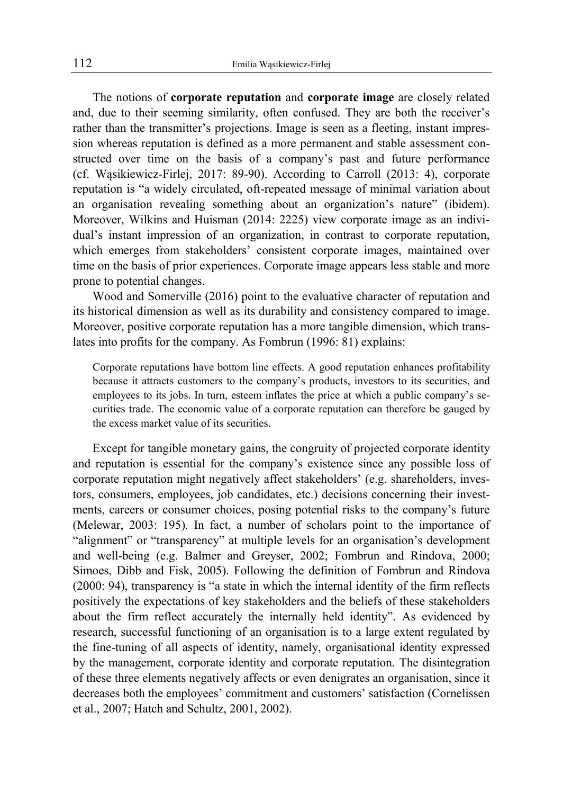The notions of **corporate reputation** and **corporate image** are closely related and, due to their seeming similarity, often confused. They are both the receiver's rather than the transmitter's projections. Image is seen as a fleeting, instant impression whereas reputation is defined as a more permanent and stable assessment constructed over time on the basis of a company's past and future performance (cf. Wąsikiewicz-Firlej, 2017: 89-90). According to Carroll (2013: 4), corporate reputation is "a widely circulated, oft-repeated message of minimal variation about an organisation revealing something about an organization's nature" (ibidem). Moreover, Wilkins and Huisman (2014: 2225) view corporate image as an individual's instant impression of an organization, in contrast to corporate reputation, which emerges from stakeholders' consistent corporate images, maintained over time on the basis of prior experiences. Corporate image appears less stable and more prone to potential changes.

Wood and Somerville (2016) point to the evaluative character of reputation and its historical dimension as well as its durability and consistency compared to image. Moreover, positive corporate reputation has a more tangible dimension, which translates into profits for the company. As Fombrun (1996: 81) explains:

Corporate reputations have bottom line effects. A good reputation enhances profitability because it attracts customers to the company's products, investors to its securities, and employees to its jobs. In turn, esteem inflates the price at which a public company's securities trade. The economic value of a corporate reputation can therefore be gauged by the excess market value of its securities.

Except for tangible monetary gains, the congruity of projected corporate identity and reputation is essential for the company's existence since any possible loss of corporate reputation might negatively affect stakeholders' (e.g. shareholders, investors, consumers, employees, job candidates, etc.) decisions concerning their investments, careers or consumer choices, posing potential risks to the company's future (Melewar, 2003: 195). In fact, a number of scholars point to the importance of "alignment" or "transparency" at multiple levels for an organisation's development and well-being (e.g. Balmer and Greyser, 2002; Fombrun and Rindova, 2000; Simoes, Dibb and Fisk, 2005). Following the definition of Fombrun and Rindova (2000: 94), transparency is "a state in which the internal identity of the firm reflects positively the expectations of key stakeholders and the beliefs of these stakeholders about the firm reflect accurately the internally held identity". As evidenced by research, successful functioning of an organisation is to a large extent regulated by the fine-tuning of all aspects of identity, namely, organisational identity expressed by the management, corporate identity and corporate reputation. The disintegration of these three elements negatively affects or even denigrates an organisation, since it decreases both the employees' commitment and customers' satisfaction (Cornelissen et al., 2007; Hatch and Schultz, 2001, 2002).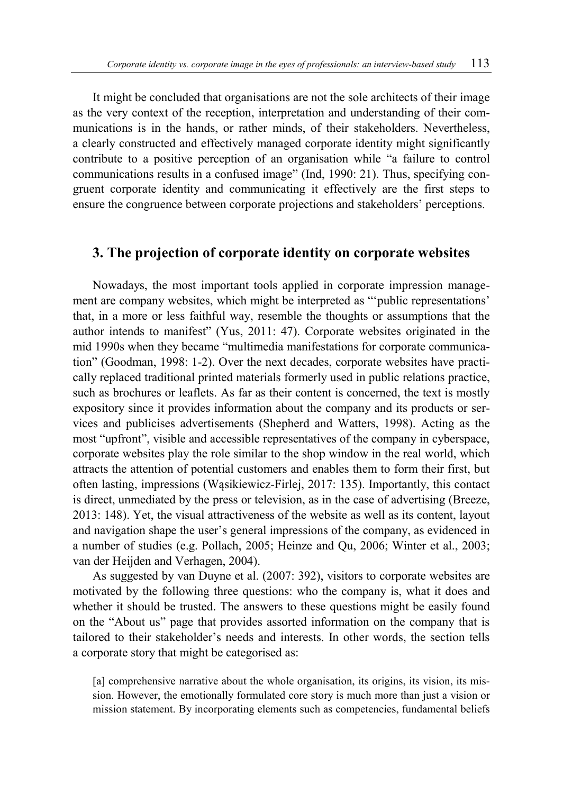It might be concluded that organisations are not the sole architects of their image as the very context of the reception, interpretation and understanding of their communications is in the hands, or rather minds, of their stakeholders. Nevertheless, a clearly constructed and effectively managed corporate identity might significantly contribute to a positive perception of an organisation while "a failure to control communications results in a confused image" (Ind, 1990: 21). Thus, specifying congruent corporate identity and communicating it effectively are the first steps to ensure the congruence between corporate projections and stakeholders' perceptions.

### **3. The projection of corporate identity on corporate websites**

Nowadays, the most important tools applied in corporate impression management are company websites, which might be interpreted as "'public representations' that, in a more or less faithful way, resemble the thoughts or assumptions that the author intends to manifest" (Yus, 2011: 47). Corporate websites originated in the mid 1990s when they became "multimedia manifestations for corporate communication" (Goodman, 1998: 1-2). Over the next decades, corporate websites have practically replaced traditional printed materials formerly used in public relations practice, such as brochures or leaflets. As far as their content is concerned, the text is mostly expository since it provides information about the company and its products or services and publicises advertisements (Shepherd and Watters, 1998). Acting as the most "upfront", visible and accessible representatives of the company in cyberspace, corporate websites play the role similar to the shop window in the real world, which attracts the attention of potential customers and enables them to form their first, but often lasting, impressions (Wąsikiewicz-Firlej, 2017: 135). Importantly, this contact is direct, unmediated by the press or television, as in the case of advertising (Breeze, 2013: 148). Yet, the visual attractiveness of the website as well as its content, layout and navigation shape the user's general impressions of the company, as evidenced in a number of studies (e.g. Pollach, 2005; Heinze and Qu, 2006; Winter et al., 2003; van der Heijden and Verhagen, 2004).

As suggested by van Duyne et al. (2007: 392), visitors to corporate websites are motivated by the following three questions: who the company is, what it does and whether it should be trusted. The answers to these questions might be easily found on the "About us" page that provides assorted information on the company that is tailored to their stakeholder's needs and interests. In other words, the section tells a corporate story that might be categorised as:

[a] comprehensive narrative about the whole organisation, its origins, its vision, its mission. However, the emotionally formulated core story is much more than just a vision or mission statement. By incorporating elements such as competencies, fundamental beliefs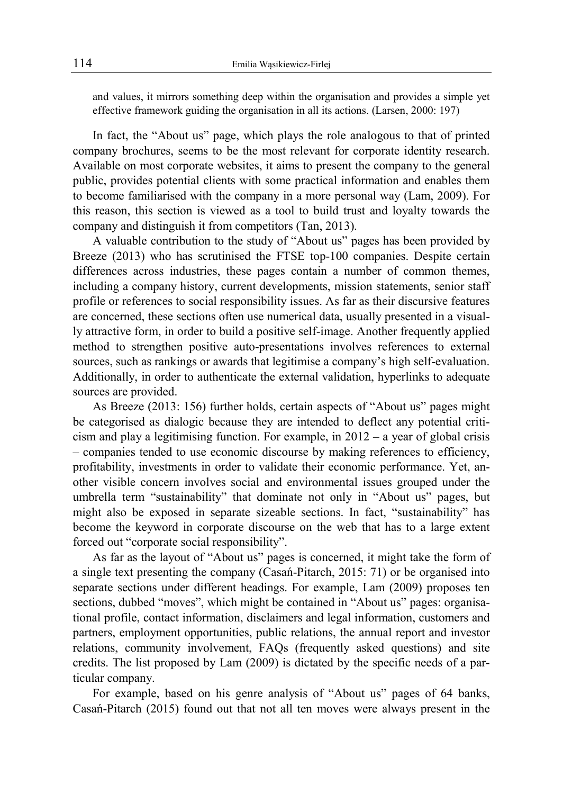and values, it mirrors something deep within the organisation and provides a simple yet effective framework guiding the organisation in all its actions. (Larsen, 2000: 197)

In fact, the "About us" page, which plays the role analogous to that of printed company brochures, seems to be the most relevant for corporate identity research. Available on most corporate websites, it aims to present the company to the general public, provides potential clients with some practical information and enables them to become familiarised with the company in a more personal way (Lam, 2009). For this reason, this section is viewed as a tool to build trust and loyalty towards the company and distinguish it from competitors (Tan, 2013).

A valuable contribution to the study of "About us" pages has been provided by Breeze (2013) who has scrutinised the FTSE top-100 companies. Despite certain differences across industries, these pages contain a number of common themes, including a company history, current developments, mission statements, senior staff profile or references to social responsibility issues. As far as their discursive features are concerned, these sections often use numerical data, usually presented in a visually attractive form, in order to build a positive self-image. Another frequently applied method to strengthen positive auto-presentations involves references to external sources, such as rankings or awards that legitimise a company's high self-evaluation. Additionally, in order to authenticate the external validation, hyperlinks to adequate sources are provided.

As Breeze (2013: 156) further holds, certain aspects of "About us" pages might be categorised as dialogic because they are intended to deflect any potential criticism and play a legitimising function. For example, in 2012 – a year of global crisis – companies tended to use economic discourse by making references to efficiency, profitability, investments in order to validate their economic performance. Yet, another visible concern involves social and environmental issues grouped under the umbrella term "sustainability" that dominate not only in "About us" pages, but might also be exposed in separate sizeable sections. In fact, "sustainability" has become the keyword in corporate discourse on the web that has to a large extent forced out "corporate social responsibility".

As far as the layout of "About us" pages is concerned, it might take the form of a single text presenting the company (Casań-Pitarch, 2015: 71) or be organised into separate sections under different headings. For example, Lam (2009) proposes ten sections, dubbed "moves", which might be contained in "About us" pages: organisational profile, contact information, disclaimers and legal information, customers and partners, employment opportunities, public relations, the annual report and investor relations, community involvement, FAQs (frequently asked questions) and site credits. The list proposed by Lam (2009) is dictated by the specific needs of a particular company.

For example, based on his genre analysis of "About us" pages of 64 banks, Casań-Pitarch (2015) found out that not all ten moves were always present in the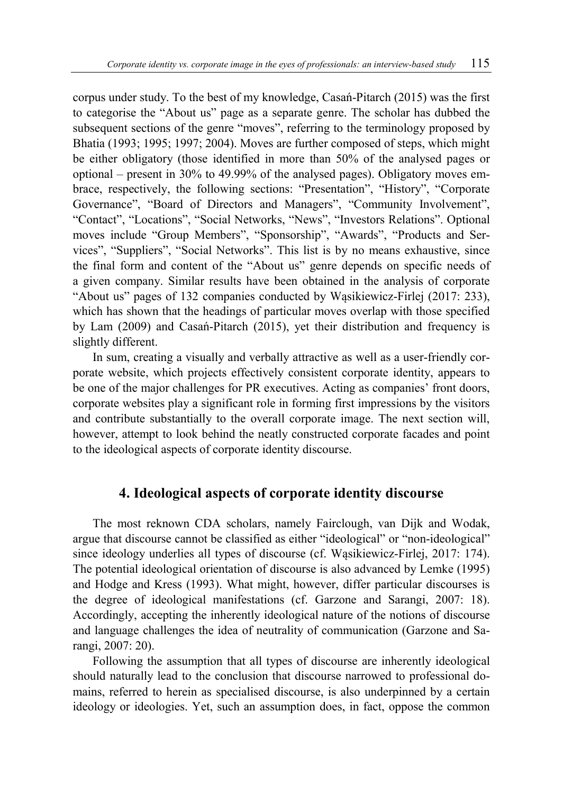corpus under study. To the best of my knowledge, Casań-Pitarch (2015) was the first to categorise the "About us" page as a separate genre. The scholar has dubbed the subsequent sections of the genre "moves", referring to the terminology proposed by Bhatia (1993; 1995; 1997; 2004). Moves are further composed of steps, which might be either obligatory (those identified in more than 50% of the analysed pages or optional – present in 30% to 49.99% of the analysed pages). Obligatory moves embrace, respectively, the following sections: "Presentation", "History", "Corporate Governance", "Board of Directors and Managers", "Community Involvement", "Contact", "Locations", "Social Networks, "News", "Investors Relations". Optional moves include "Group Members", "Sponsorship", "Awards", "Products and Services", "Suppliers", "Social Networks". This list is by no means exhaustive, since the final form and content of the "About us" genre depends on specific needs of a given company. Similar results have been obtained in the analysis of corporate "About us" pages of 132 companies conducted by Wąsikiewicz-Firlej (2017: 233), which has shown that the headings of particular moves overlap with those specified by Lam (2009) and Casań-Pitarch (2015), yet their distribution and frequency is slightly different.

In sum, creating a visually and verbally attractive as well as a user-friendly corporate website, which projects effectively consistent corporate identity, appears to be one of the major challenges for PR executives. Acting as companies' front doors, corporate websites play a significant role in forming first impressions by the visitors and contribute substantially to the overall corporate image. The next section will, however, attempt to look behind the neatly constructed corporate facades and point to the ideological aspects of corporate identity discourse.

# **4. Ideological aspects of corporate identity discourse**

The most reknown CDA scholars, namely Fairclough, van Dijk and Wodak, argue that discourse cannot be classified as either "ideological" or "non-ideological" since ideology underlies all types of discourse (cf. Wąsikiewicz-Firlej, 2017: 174). The potential ideological orientation of discourse is also advanced by Lemke (1995) and Hodge and Kress (1993). What might, however, differ particular discourses is the degree of ideological manifestations (cf. Garzone and Sarangi, 2007: 18). Accordingly, accepting the inherently ideological nature of the notions of discourse and language challenges the idea of neutrality of communication (Garzone and Sarangi, 2007: 20).

Following the assumption that all types of discourse are inherently ideological should naturally lead to the conclusion that discourse narrowed to professional domains, referred to herein as specialised discourse, is also underpinned by a certain ideology or ideologies. Yet, such an assumption does, in fact, oppose the common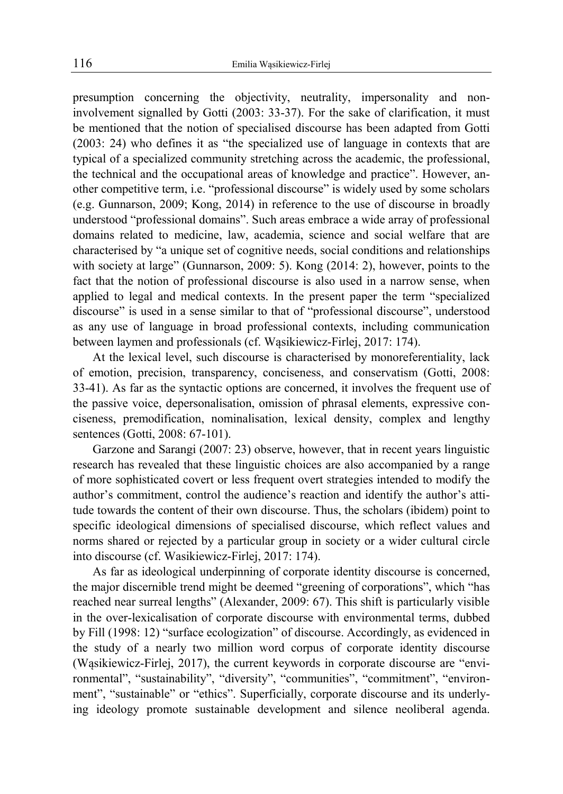presumption concerning the objectivity, neutrality, impersonality and noninvolvement signalled by Gotti (2003: 33-37). For the sake of clarification, it must be mentioned that the notion of specialised discourse has been adapted from Gotti (2003: 24) who defines it as "the specialized use of language in contexts that are typical of a specialized community stretching across the academic, the professional, the technical and the occupational areas of knowledge and practice". However, another competitive term, i.e. "professional discourse" is widely used by some scholars (e.g. Gunnarson, 2009; Kong, 2014) in reference to the use of discourse in broadly understood "professional domains". Such areas embrace a wide array of professional domains related to medicine, law, academia, science and social welfare that are characterised by "a unique set of cognitive needs, social conditions and relationships with society at large" (Gunnarson, 2009: 5). Kong (2014: 2), however, points to the fact that the notion of professional discourse is also used in a narrow sense, when applied to legal and medical contexts. In the present paper the term "specialized discourse" is used in a sense similar to that of "professional discourse", understood as any use of language in broad professional contexts, including communication between laymen and professionals (cf. Wąsikiewicz-Firlej, 2017: 174).

At the lexical level, such discourse is characterised by monoreferentiality, lack of emotion, precision, transparency, conciseness, and conservatism (Gotti, 2008: 33-41). As far as the syntactic options are concerned, it involves the frequent use of the passive voice, depersonalisation, omission of phrasal elements, expressive conciseness, premodification, nominalisation, lexical density, complex and lengthy sentences (Gotti, 2008: 67-101).

Garzone and Sarangi (2007: 23) observe, however, that in recent years linguistic research has revealed that these linguistic choices are also accompanied by a range of more sophisticated covert or less frequent overt strategies intended to modify the author's commitment, control the audience's reaction and identify the author's attitude towards the content of their own discourse. Thus, the scholars (ibidem) point to specific ideological dimensions of specialised discourse, which reflect values and norms shared or rejected by a particular group in society or a wider cultural circle into discourse (cf. Wasikiewicz-Firlej, 2017: 174).

As far as ideological underpinning of corporate identity discourse is concerned, the major discernible trend might be deemed "greening of corporations", which "has reached near surreal lengths" (Alexander, 2009: 67). This shift is particularly visible in the over-lexicalisation of corporate discourse with environmental terms, dubbed by Fill (1998: 12) "surface ecologization" of discourse. Accordingly, as evidenced in the study of a nearly two million word corpus of corporate identity discourse (Wąsikiewicz-Firlej, 2017), the current keywords in corporate discourse are "environmental", "sustainability", "diversity", "communities", "commitment", "environment", "sustainable" or "ethics". Superficially, corporate discourse and its underlying ideology promote sustainable development and silence neoliberal agenda.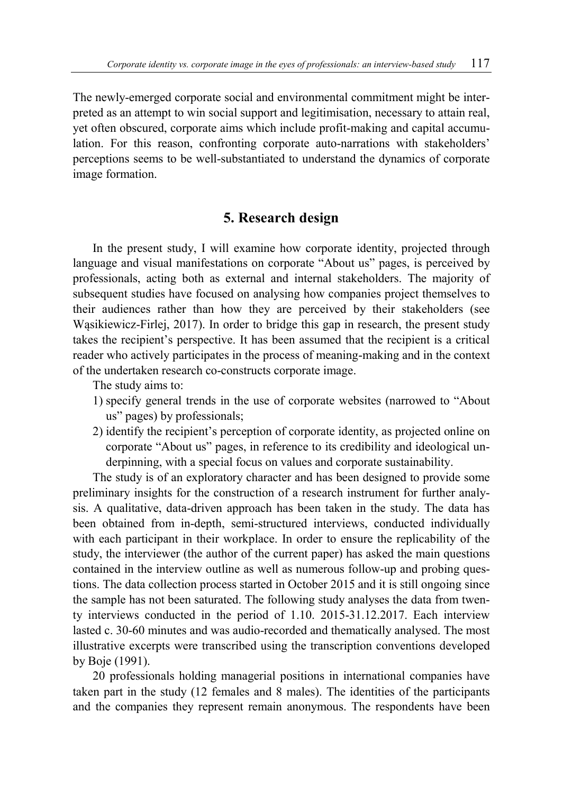The newly-emerged corporate social and environmental commitment might be interpreted as an attempt to win social support and legitimisation, necessary to attain real, yet often obscured, corporate aims which include profit-making and capital accumulation. For this reason, confronting corporate auto-narrations with stakeholders' perceptions seems to be well-substantiated to understand the dynamics of corporate image formation.

# **5. Research design**

In the present study, I will examine how corporate identity, projected through language and visual manifestations on corporate "About us" pages, is perceived by professionals, acting both as external and internal stakeholders. The majority of subsequent studies have focused on analysing how companies project themselves to their audiences rather than how they are perceived by their stakeholders (see Wąsikiewicz-Firlej, 2017). In order to bridge this gap in research, the present study takes the recipient's perspective. It has been assumed that the recipient is a critical reader who actively participates in the process of meaning-making and in the context of the undertaken research co-constructs corporate image.

The study aims to:

- 1) specify general trends in the use of corporate websites (narrowed to "About us" pages) by professionals;
- 2) identify the recipient's perception of corporate identity, as projected online on corporate "About us" pages, in reference to its credibility and ideological underpinning, with a special focus on values and corporate sustainability.

The study is of an exploratory character and has been designed to provide some preliminary insights for the construction of a research instrument for further analysis. A qualitative, data-driven approach has been taken in the study. The data has been obtained from in-depth, semi-structured interviews, conducted individually with each participant in their workplace. In order to ensure the replicability of the study, the interviewer (the author of the current paper) has asked the main questions contained in the interview outline as well as numerous follow-up and probing questions. The data collection process started in October 2015 and it is still ongoing since the sample has not been saturated. The following study analyses the data from twenty interviews conducted in the period of 1.10. 2015-31.12.2017. Each interview lasted c. 30-60 minutes and was audio-recorded and thematically analysed. The most illustrative excerpts were transcribed using the transcription conventions developed by Boje (1991).

20 professionals holding managerial positions in international companies have taken part in the study (12 females and 8 males). The identities of the participants and the companies they represent remain anonymous. The respondents have been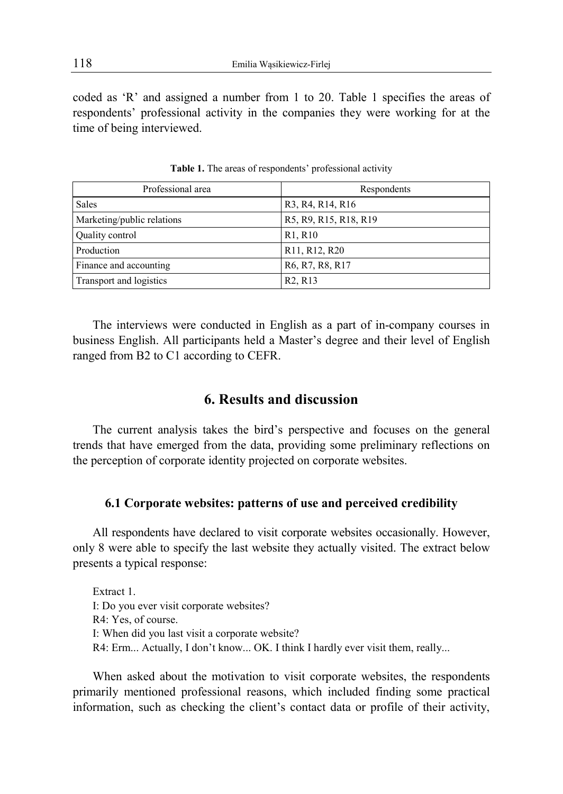coded as 'R' and assigned a number from 1 to 20. Table 1 specifies the areas of respondents' professional activity in the companies they were working for at the time of being interviewed.

| Professional area          | Respondents                                                         |
|----------------------------|---------------------------------------------------------------------|
| <b>Sales</b>               | R <sub>3</sub> , R <sub>4</sub> , R <sub>14</sub> , R <sub>16</sub> |
| Marketing/public relations | R5, R9, R15, R18, R19                                               |
| Quality control            | R <sub>1</sub> , R <sub>10</sub>                                    |
| Production                 | R <sub>11</sub> , R <sub>12</sub> , R <sub>20</sub>                 |
| Finance and accounting     | R6, R7, R8, R17                                                     |
| Transport and logistics    | R <sub>2</sub> , R <sub>13</sub>                                    |

**Table 1.** The areas of respondents' professional activity

The interviews were conducted in English as a part of in-company courses in business English. All participants held a Master's degree and their level of English ranged from B2 to C1 according to CEFR.

# **6. Results and discussion**

The current analysis takes the bird's perspective and focuses on the general trends that have emerged from the data, providing some preliminary reflections on the perception of corporate identity projected on corporate websites.

#### **6.1 Corporate websites: patterns of use and perceived credibility**

All respondents have declared to visit corporate websites occasionally. However, only 8 were able to specify the last website they actually visited. The extract below presents a typical response:

Extract 1. I: Do you ever visit corporate websites? R4: Yes, of course. I: When did you last visit a corporate website? R4: Erm... Actually, I don't know... OK. I think I hardly ever visit them, really...

When asked about the motivation to visit corporate websites, the respondents primarily mentioned professional reasons, which included finding some practical information, such as checking the client's contact data or profile of their activity,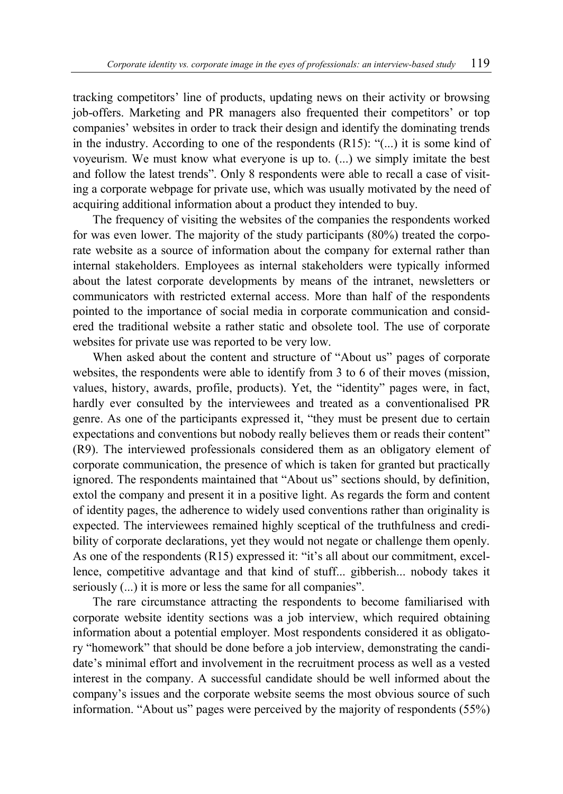tracking competitors' line of products, updating news on their activity or browsing job-offers. Marketing and PR managers also frequented their competitors' or top companies' websites in order to track their design and identify the dominating trends in the industry. According to one of the respondents (R15): "(...) it is some kind of voyeurism. We must know what everyone is up to. (...) we simply imitate the best and follow the latest trends". Only 8 respondents were able to recall a case of visiting a corporate webpage for private use, which was usually motivated by the need of acquiring additional information about a product they intended to buy.

The frequency of visiting the websites of the companies the respondents worked for was even lower. The majority of the study participants (80%) treated the corporate website as a source of information about the company for external rather than internal stakeholders. Employees as internal stakeholders were typically informed about the latest corporate developments by means of the intranet, newsletters or communicators with restricted external access. More than half of the respondents pointed to the importance of social media in corporate communication and considered the traditional website a rather static and obsolete tool. The use of corporate websites for private use was reported to be very low.

When asked about the content and structure of "About us" pages of corporate websites, the respondents were able to identify from 3 to 6 of their moves (mission, values, history, awards, profile, products). Yet, the "identity" pages were, in fact, hardly ever consulted by the interviewees and treated as a conventionalised PR genre. As one of the participants expressed it, "they must be present due to certain expectations and conventions but nobody really believes them or reads their content" (R9). The interviewed professionals considered them as an obligatory element of corporate communication, the presence of which is taken for granted but practically ignored. The respondents maintained that "About us" sections should, by definition, extol the company and present it in a positive light. As regards the form and content of identity pages, the adherence to widely used conventions rather than originality is expected. The interviewees remained highly sceptical of the truthfulness and credibility of corporate declarations, yet they would not negate or challenge them openly. As one of the respondents (R15) expressed it: "it's all about our commitment, excellence, competitive advantage and that kind of stuff... gibberish... nobody takes it seriously (...) it is more or less the same for all companies".

The rare circumstance attracting the respondents to become familiarised with corporate website identity sections was a job interview, which required obtaining information about a potential employer. Most respondents considered it as obligatory "homework" that should be done before a job interview, demonstrating the candidate's minimal effort and involvement in the recruitment process as well as a vested interest in the company. A successful candidate should be well informed about the company's issues and the corporate website seems the most obvious source of such information. "About us" pages were perceived by the majority of respondents (55%)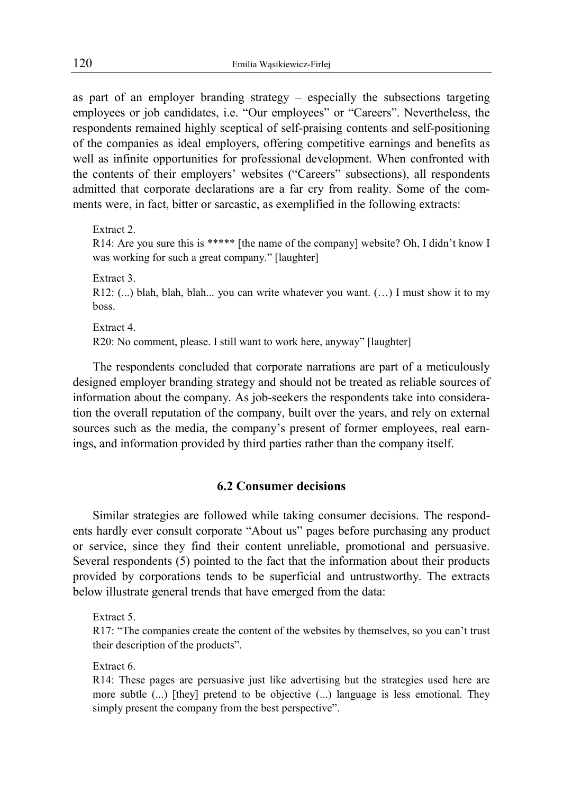as part of an employer branding strategy – especially the subsections targeting employees or job candidates, i.e. "Our employees" or "Careers". Nevertheless, the respondents remained highly sceptical of self-praising contents and self-positioning of the companies as ideal employers, offering competitive earnings and benefits as well as infinite opportunities for professional development. When confronted with the contents of their employers' websites ("Careers" subsections), all respondents admitted that corporate declarations are a far cry from reality. Some of the comments were, in fact, bitter or sarcastic, as exemplified in the following extracts:

Extract 2. R14: Are you sure this is \*\*\*\*\* [the name of the company] website? Oh, I didn't know I was working for such a great company." [laughter] Extract 3. R12: (...) blah, blah, blah... you can write whatever you want. (…) I must show it to my

Extract 4. R20: No comment, please. I still want to work here, anyway" [laughter]

The respondents concluded that corporate narrations are part of a meticulously designed employer branding strategy and should not be treated as reliable sources of information about the company. As job-seekers the respondents take into consideration the overall reputation of the company, built over the years, and rely on external sources such as the media, the company's present of former employees, real earnings, and information provided by third parties rather than the company itself.

# **6.2 Consumer decisions**

Similar strategies are followed while taking consumer decisions. The respondents hardly ever consult corporate "About us" pages before purchasing any product or service, since they find their content unreliable, promotional and persuasive. Several respondents (5) pointed to the fact that the information about their products provided by corporations tends to be superficial and untrustworthy. The extracts below illustrate general trends that have emerged from the data:

Extract 5.

R17: "The companies create the content of the websites by themselves, so you can't trust their description of the products".

Extract 6.

R14: These pages are persuasive just like advertising but the strategies used here are more subtle (...) [they] pretend to be objective (...) language is less emotional. They simply present the company from the best perspective".

boss.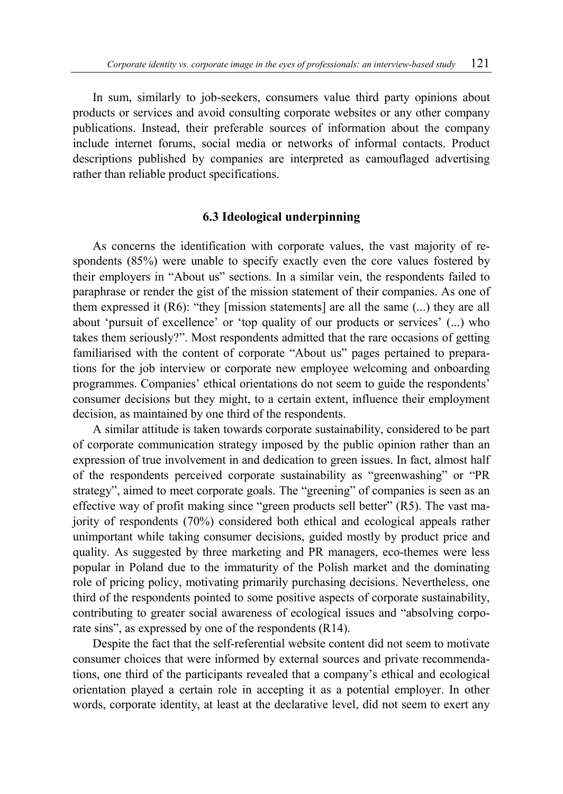In sum, similarly to job-seekers, consumers value third party opinions about products or services and avoid consulting corporate websites or any other company publications. Instead, their preferable sources of information about the company include internet forums, social media or networks of informal contacts. Product descriptions published by companies are interpreted as camouflaged advertising rather than reliable product specifications.

#### **6.3 Ideological underpinning**

As concerns the identification with corporate values, the vast majority of respondents (85%) were unable to specify exactly even the core values fostered by their employers in "About us" sections. In a similar vein, the respondents failed to paraphrase or render the gist of the mission statement of their companies. As one of them expressed it  $(R6)$ : "they [mission statements] are all the same  $(...)$  they are all about 'pursuit of excellence' or 'top quality of our products or services' (...) who takes them seriously?". Most respondents admitted that the rare occasions of getting familiarised with the content of corporate "About us" pages pertained to preparations for the job interview or corporate new employee welcoming and onboarding programmes. Companies' ethical orientations do not seem to guide the respondents' consumer decisions but they might, to a certain extent, influence their employment decision, as maintained by one third of the respondents.

A similar attitude is taken towards corporate sustainability, considered to be part of corporate communication strategy imposed by the public opinion rather than an expression of true involvement in and dedication to green issues. In fact, almost half of the respondents perceived corporate sustainability as "greenwashing" or "PR strategy", aimed to meet corporate goals. The "greening" of companies is seen as an effective way of profit making since "green products sell better" (R5). The vast majority of respondents (70%) considered both ethical and ecological appeals rather unimportant while taking consumer decisions, guided mostly by product price and quality. As suggested by three marketing and PR managers, eco-themes were less popular in Poland due to the immaturity of the Polish market and the dominating role of pricing policy, motivating primarily purchasing decisions. Nevertheless, one third of the respondents pointed to some positive aspects of corporate sustainability, contributing to greater social awareness of ecological issues and "absolving corporate sins", as expressed by one of the respondents (R14).

Despite the fact that the self-referential website content did not seem to motivate consumer choices that were informed by external sources and private recommendations, one third of the participants revealed that a company's ethical and ecological orientation played a certain role in accepting it as a potential employer. In other words, corporate identity, at least at the declarative level, did not seem to exert any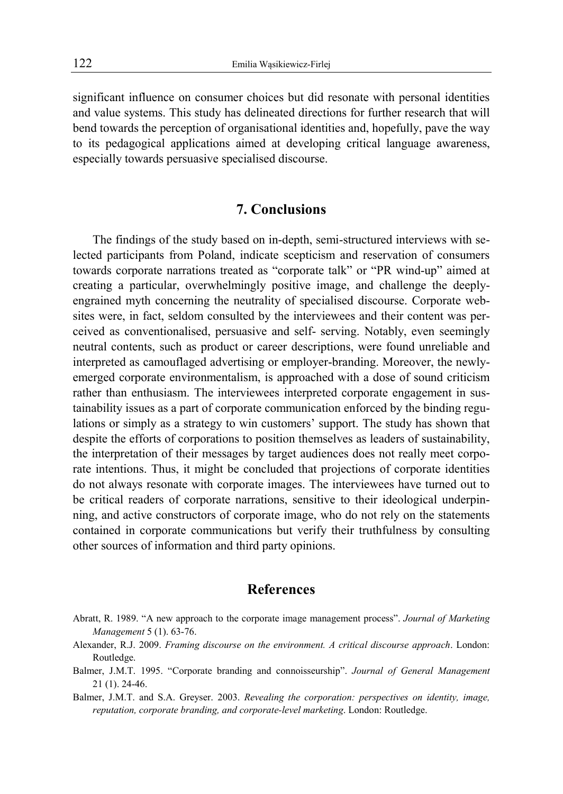significant influence on consumer choices but did resonate with personal identities and value systems. This study has delineated directions for further research that will bend towards the perception of organisational identities and, hopefully, pave the way to its pedagogical applications aimed at developing critical language awareness, especially towards persuasive specialised discourse.

# **7. Conclusions**

The findings of the study based on in-depth, semi-structured interviews with selected participants from Poland, indicate scepticism and reservation of consumers towards corporate narrations treated as "corporate talk" or "PR wind-up" aimed at creating a particular, overwhelmingly positive image, and challenge the deeplyengrained myth concerning the neutrality of specialised discourse. Corporate websites were, in fact, seldom consulted by the interviewees and their content was perceived as conventionalised, persuasive and self- serving. Notably, even seemingly neutral contents, such as product or career descriptions, were found unreliable and interpreted as camouflaged advertising or employer-branding. Moreover, the newlyemerged corporate environmentalism, is approached with a dose of sound criticism rather than enthusiasm. The interviewees interpreted corporate engagement in sustainability issues as a part of corporate communication enforced by the binding regulations or simply as a strategy to win customers' support. The study has shown that despite the efforts of corporations to position themselves as leaders of sustainability, the interpretation of their messages by target audiences does not really meet corporate intentions. Thus, it might be concluded that projections of corporate identities do not always resonate with corporate images. The interviewees have turned out to be critical readers of corporate narrations, sensitive to their ideological underpinning, and active constructors of corporate image, who do not rely on the statements contained in corporate communications but verify their truthfulness by consulting other sources of information and third party opinions.

### **References**

- Abratt, R. 1989. "A new approach to the corporate image management process". *Journal of Marketing Management* 5 (1). 63-76.
- Alexander, R.J. 2009. *Framing discourse on the environment. A critical discourse approach*. London: Routledge.
- Balmer, J.M.T. 1995. "Corporate branding and connoisseurship". *Journal of General Management*  21 (1). 24-46.
- Balmer, J.M.T. and S.A. Greyser. 2003. *Revealing the corporation: perspectives on identity, image, reputation, corporate branding, and corporate-level marketing*. London: Routledge.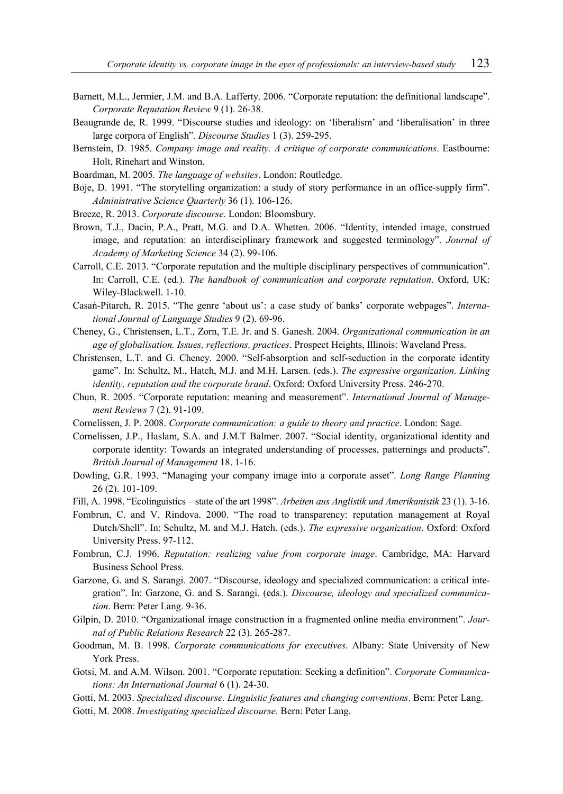- Barnett, M.L., Jermier, J.M. and B.A. Lafferty. 2006. "Corporate reputation: the definitional landscape". *Corporate Reputation Review* 9 (1). 26-38.
- Beaugrande de, R. 1999. "Discourse studies and ideology: on 'liberalism' and 'liberalisation' in three large corpora of English". *Discourse Studies* 1 (3). 259-295.
- Bernstein, D. 1985. *Company image and reality. A critique of corporate communications*. Eastbourne: Holt, Rinehart and Winston.
- Boardman, M. 2005*. The language of websites*. London: Routledge.
- Boje, D. 1991. "The storytelling organization: a study of story performance in an office-supply firm". *Administrative Science Quarterly* 36 (1). 106-126.
- Breeze, R. 2013. *Corporate discourse*. London: Bloomsbury.
- Brown, T.J., Dacin, P.A., Pratt, M.G. and D.A. Whetten. 2006. "Identity, intended image, construed image, and reputation: an interdisciplinary framework and suggested terminology". *Journal of Academy of Marketing Science* 34 (2). 99-106.
- Carroll, C.E. 2013. "Corporate reputation and the multiple disciplinary perspectives of communication". In: Carroll, C.E. (ed.). *The handbook of communication and corporate reputation*. Oxford, UK: Wiley-Blackwell. 1-10.
- Casań-Pitarch, R. 2015. "The genre 'about us': a case study of banks' corporate webpages". *International Journal of Language Studies* 9 (2). 69-96.
- Cheney, G., Christensen, L.T., Zorn, T.E. Jr. and S. Ganesh. 2004. *Organizational communication in an age of globalisation. Issues, reflections, practices*. Prospect Heights, Illinois: Waveland Press.
- Christensen, L.T. and G. Cheney. 2000. "Self-absorption and self-seduction in the corporate identity game". In: Schultz, M., Hatch, M.J. and M.H. Larsen. (eds.). *The expressive organization. Linking identity, reputation and the corporate brand*. Oxford: Oxford University Press. 246-270.
- Chun, R. 2005. "Corporate reputation: meaning and measurement". *International Journal of Management Reviews* 7 (2). 91-109.
- Cornelissen, J. P. 2008. *Corporate communication: a guide to theory and practice*. London: Sage.
- Cornelissen, J.P., Haslam, S.A. and J.M.T Balmer. 2007. "Social identity, organizational identity and corporate identity: Towards an integrated understanding of processes, patternings and products". *British Journal of Management* 18. 1-16.
- Dowling, G.R. 1993. "Managing your company image into a corporate asset". *Long Range Planning* 26 (2). 101-109.
- Fill, A. 1998. "Ecolinguistics state of the art 1998". *Arbeiten aus Anglistik und Amerikanistik* 23 (1). 3-16.
- Fombrun, C. and V. Rindova. 2000. "The road to transparency: reputation management at Royal Dutch/Shell". In: Schultz, M. and M.J. Hatch. (eds.). *The expressive organization*. Oxford: Oxford University Press. 97-112.
- Fombrun, C.J. 1996. *Reputation: realizing value from corporate image*. Cambridge, MA: Harvard Business School Press.
- Garzone, G. and S. Sarangi. 2007. "Discourse, ideology and specialized communication: a critical integration". In: Garzone, G. and S. Sarangi. (eds.). *Discourse, ideology and specialized communication*. Bern: Peter Lang. 9-36.
- Gilpin, D. 2010. "Organizational image construction in a fragmented online media environment". *Journal of Public Relations Research* 22 (3). 265-287.
- Goodman, M. B. 1998. *Corporate communications for executives*. Albany: State University of New York Press.
- Gotsi, M. and A.M. Wilson. 2001. "Corporate reputation: Seeking a definition". *Corporate Communications: An International Journal* 6 (1). 24-30.
- Gotti, M. 2003. *Specialized discourse. Linguistic features and changing conventions*. Bern: Peter Lang.
- Gotti, M. 2008. *Investigating specialized discourse.* Bern: Peter Lang.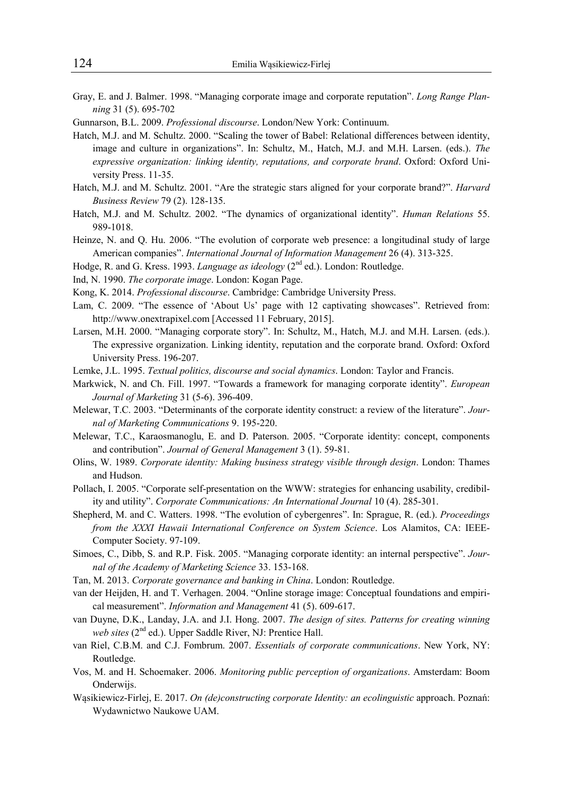- Gray, E. and J. Balmer. 1998. "Managing corporate image and corporate reputation". *Long Range Planning* 31 (5). 695-702
- Gunnarson, B.L. 2009. *Professional discourse*. London/New York: Continuum.
- Hatch, M.J. and M. Schultz. 2000. "Scaling the tower of Babel: Relational differences between identity, image and culture in organizations". In: Schultz, M., Hatch, M.J. and M.H. Larsen. (eds.). *The expressive organization: linking identity, reputations, and corporate brand*. Oxford: Oxford University Press. 11-35.
- Hatch, M.J. and M. Schultz. 2001. "Are the strategic stars aligned for your corporate brand?". *Harvard Business Review* 79 (2). 128-135.
- Hatch, M.J. and M. Schultz. 2002. "The dynamics of organizational identity". *Human Relations* 55. 989-1018.
- Heinze, N. and Q. Hu. 2006. "The evolution of corporate web presence: a longitudinal study of large American companies". *International Journal of Information Management* 26 (4). 313-325.
- Hodge, R. and G. Kress. 1993. *Language as ideology* (2<sup>nd</sup> ed.). London: Routledge.
- Ind, N. 1990. *The corporate image*. London: Kogan Page.
- Kong, K. 2014. *Professional discourse*. Cambridge: Cambridge University Press.
- Lam, C. 2009. "The essence of 'About Us' page with 12 captivating showcases". Retrieved from: http://www.onextrapixel.com [Accessed 11 February, 2015].
- Larsen, M.H. 2000. "Managing corporate story". In: Schultz, M., Hatch, M.J. and M.H. Larsen. (eds.). The expressive organization. Linking identity, reputation and the corporate brand. Oxford: Oxford University Press. 196-207.
- Lemke, J.L. 1995. *Textual politics, discourse and social dynamics*. London: Taylor and Francis.
- Markwick, N. and Ch. Fill. 1997. "Towards a framework for managing corporate identity". *European Journal of Marketing* 31 (5-6). 396-409.
- Melewar, T.C. 2003. "Determinants of the corporate identity construct: a review of the literature". *Journal of Marketing Communications* 9. 195-220.
- Melewar, T.C., Karaosmanoglu, E. and D. Paterson. 2005. "Corporate identity: concept, components and contribution". *Journal of General Management* 3 (1). 59-81.
- Olins, W. 1989. *Corporate identity: Making business strategy visible through design*. London: Thames and Hudson.
- Pollach, I. 2005. "Corporate self-presentation on the WWW: strategies for enhancing usability, credibility and utility". *Corporate Communications: An International Journal* 10 (4). 285-301.
- Shepherd, M. and C. Watters. 1998. "The evolution of cybergenres". In: Sprague, R. (ed.). *Proceedings from the XXXI Hawaii International Conference on System Science*. Los Alamitos, CA: IEEE-Computer Society. 97-109.
- Simoes, C., Dibb, S. and R.P. Fisk. 2005. "Managing corporate identity: an internal perspective". *Journal of the Academy of Marketing Science* 33. 153-168.
- Tan, M. 2013. *Corporate governance and banking in China*. London: Routledge.
- van der Heijden, H. and T. Verhagen. 2004. "Online storage image: Conceptual foundations and empirical measurement". *Information and Management* 41 (5). 609-617.
- van Duyne, D.K., Landay, J.A. and J.I. Hong. 2007. *The design of sites. Patterns for creating winning web sites* (2nd ed.). Upper Saddle River, NJ: Prentice Hall.
- van Riel, C.B.M. and C.J. Fombrum. 2007. *Essentials of corporate communications*. New York, NY: Routledge.
- Vos, M. and H. Schoemaker. 2006. *Monitoring public perception of organizations*. Amsterdam: Boom Onderwijs.
- Wąsikiewicz-Firlej, E. 2017. *On (de)constructing corporate Identity: an ecolinguistic* approach. Poznań: Wydawnictwo Naukowe UAM.